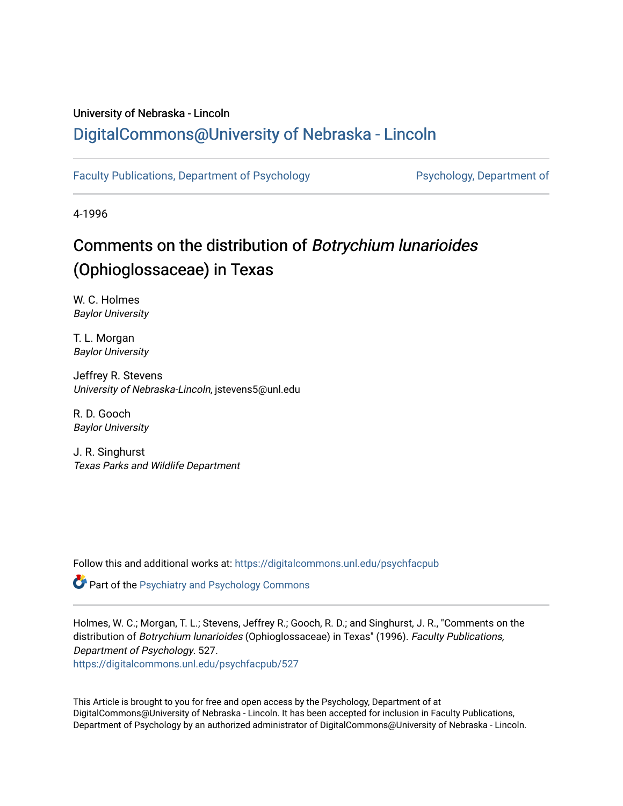# University of Nebraska - Lincoln [DigitalCommons@University of Nebraska - Lincoln](https://digitalcommons.unl.edu/)

[Faculty Publications, Department of Psychology](https://digitalcommons.unl.edu/psychfacpub) **Partment of Psychology**, Department of

4-1996

# Comments on the distribution of Botrychium lunarioides (Ophioglossaceae) in Texas

W. C. Holmes Baylor University

T. L. Morgan Baylor University

Jeffrey R. Stevens University of Nebraska-Lincoln, jstevens5@unl.edu

R. D. Gooch Baylor University

J. R. Singhurst Texas Parks and Wildlife Department

Follow this and additional works at: [https://digitalcommons.unl.edu/psychfacpub](https://digitalcommons.unl.edu/psychfacpub?utm_source=digitalcommons.unl.edu%2Fpsychfacpub%2F527&utm_medium=PDF&utm_campaign=PDFCoverPages) 

**Part of the Psychiatry and Psychology Commons** 

Holmes, W. C.; Morgan, T. L.; Stevens, Jeffrey R.; Gooch, R. D.; and Singhurst, J. R., "Comments on the distribution of Botrychium lunarioides (Ophioglossaceae) in Texas" (1996). Faculty Publications, Department of Psychology. 527.

[https://digitalcommons.unl.edu/psychfacpub/527](https://digitalcommons.unl.edu/psychfacpub/527?utm_source=digitalcommons.unl.edu%2Fpsychfacpub%2F527&utm_medium=PDF&utm_campaign=PDFCoverPages) 

This Article is brought to you for free and open access by the Psychology, Department of at DigitalCommons@University of Nebraska - Lincoln. It has been accepted for inclusion in Faculty Publications, Department of Psychology by an authorized administrator of DigitalCommons@University of Nebraska - Lincoln.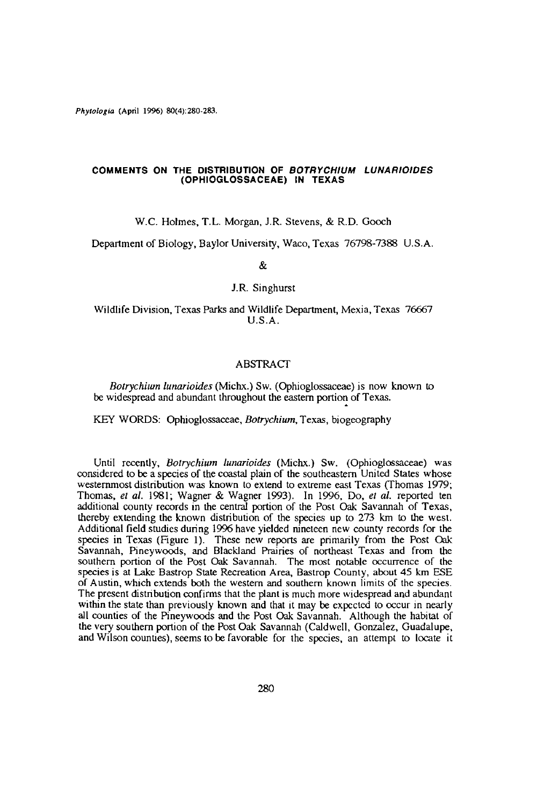#### **COMMENTS ON THE DISTRIBUTION OF BOTRYCHIUM LUNAR/OIDES (OPHIOGLOSSACEAE) IN TEXAS**

W.C. Holmes, T.L. Morgan, J.R. Stevens, & R.D. Gooch

Department of Biology, Baylor University, Waco, Texas 76798-7388 U.S.A.

&

J.R. Singhurst

Wildlife Division, Texas Parks and Wildlife Department, Mexia, Texas 76667 U.S.A.

## ABSTRACT

*Botrychium lunarioides* (Michx.) Sw. (Ophioglossaceae) is now known to be widespread and abundant throughout the eastern portion of Texas.

KEY WORDS: Ophioglossaceae, *Botrychium,* Texas, biogeography

Until recently, *Botrychium lunarioides* (Michx.) Sw. (Ophioglossaceae) was considered to be a species of the coastal plain of the southeastern United States whose westernmost distribution was known to extend to extreme east Texas (Thomas 1979; Thomas, *et* al. 1981; Wagner & Wagner 1993). In 1996, Do, *el al.* reported ten additional county records in the central portion of the Post Oak Savannah of Texas, thereby extending the known distribution of the species up to 273 km to the west. Additional field studies during 1996 have yielded nineteen new county records for the species in Texas (Figure 1). These new reports are primarily from the Post Oak Savannah, Pineywoods, and Blackland Prairies of northeast Texas and from the southern portion of the Post Oak Savannah. The most notable occurrence of the species is at Lake Bastrop State Recreation Area, Bastrop County, about 45 km ESE of Austin, which extends both the western and southern known limits of the species. The present distribution confirms that the plant is much more widespread and abundant within the state than previously known and that it may be expected to occur in nearly all counties of the Pineywoods and the Post Oak Savannah. Although the habitat of the very southern portion of the Post Oak Savannah (Caldwell, Gonzalez, Guadalupe, and Wilson counties), seems to be favorable for the species, an attempt to locate it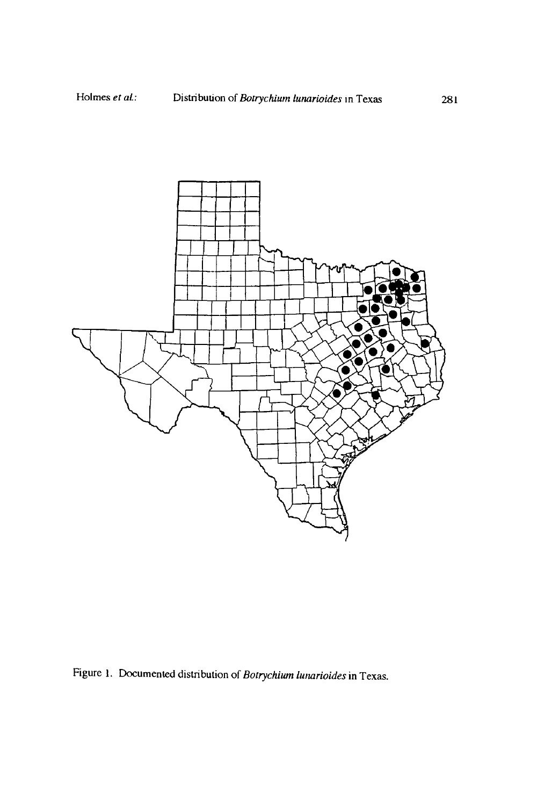

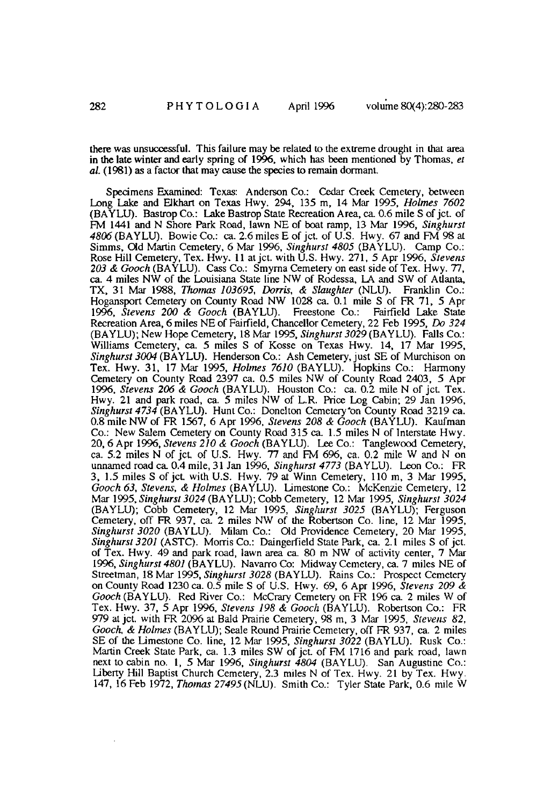there was unsuccessful. This failure may be related 10 the extreme drought in that area in the late winter and early spring of 1996, which has been mentioned by Thomas, *et*  aI. (1981) as a factor that may cause the species to remain dormant.

Specimens Examined: Texas: Anderson Co.: Cedar Creek Cemetery, between Long Lake and Elkhart on Texas Hwy. 294, 135 m, 14 Mar 1995, *Holmes 7602*  (BA YLU). Bastrop Co.: Lake Bastrop State Recreation Area, ca 0.6 mile S of jct. of FM 1441 and N Shore Park Road, lawn NE of boat ramp, 13 Mar 1996, *Singhurst 4806* (BA YLU). Bowie Co.: ca. 2.6 miles E of jct. of U.S. Hwy. 67 and FM 98 at Simms, Old Martin Cemetery, 6 Mar 1996, *Singhurst 4805* (BA YLU). Camp Co.: Rose Hill Cemetery, Tex. Hwy. 11 atjct. with U.S. Hwy. 271, 5 Apr 1996, *Stevens*  ca. 4 miles NW of the Louisiana State line NW of Rodessa, LA and SW of Atlanta, TX, 31 Mar 1988, *Thomas 103695, Dorris,* & *Slaughter* (NLU). Franklin Co.: Hogansport Cemetery on County Road NW 1028 ca. 0.1 mile S of FR 71, 5 Apr 1996, *Stevens 200* & *Gooch* (BA YLU). Freestone Co.: Fairfield Lake State Recreation Area, 6 miles NE of Fairfield, Chancellor Cemetery, 22 Feb 1995, *Do 324*  (BAYLU); New Hope Cemetery, 18 Mar 1995, *Sing hurst 3029* (BA YLU). Falls Co.: Williams Cemetery, ca. 5 miles S of Kosse on Texas Hwy. 14, 17 Mar 1995, *Singhurst 3004* (BA YLU). Henderson Co.: Ash Cemetery, just SE of Murchison on Tex. Hwy. 31, 17 Mar 1995, *Holmes 7610* (BA YLU). Hopkins Co.: Harmony Cemetery on County Road 2397 ca. 0.5 miles NW of County Road 2403, 5 Apr 1996, *Stevens 206* & *Gooch* (BA YLU). Houston Co.: ca. 0.2 mile N of jct. Tex. Hwy. 21 and park road, ca. 5 miles NW of L.R. Price Log Cabin; 29 Jan 1996, Singhurst 4734 (BAYLU). Hunt Co.: Donelton Cemetery on County Road 3219 ca. *SinghuTst4734* (BA YLU). Hunt Co.: Donelton Cemetery'on County Road 3219 ca. 0.8 mile NW of FR 1567, 6 Apr 1996, *Stevens 208* & *Gooch* (BA YLU). Kaufman Co.: New Salem Cemetery on County Road 315 ca. 1.5 miles N of Interstate Hwy. 20,6 Apr 1996, *Stevens 210* & *Gooch* (BA YLU). Lee Co.: Tanglewood Cemetery, ca. 5.2 miles N of jct. of U.S. Hwy. 77 and FM 696, ca. 0.2 mile W and N on unnamed road ca 0.4 mile, 31 Jan 1996, *Singhurst* 4773 (BA YLU). Leon Co.: FR 3, 1.5 miles S of jct. with U.S. Hwy. 79 at Winn Cemetery, 110 m, 3 Mar 1995, *Gooch 63, Stevens, & Holmes (BAYLU). Limestone Co.: McKenzie Cemetery, 12* Mar 1995, *Singhurst 3024* (BAYLU); Cobb Cemetery, 12 Mar 1995, *Singhurst 3024* (BAYLU); Cobb Cemetery, 12 Mar 1995, *Singhurst 3025* (BAYLU); Ferguson Cemetery, off FR 937, ca. 2 miles NW of the Robertson Co. line, 12 Mar 1995, *Sing hurst 3020* (BA YLU). Milam Co.: Old Providence Cemetery, 20 Mar 1995, *Singhurst 3201* (ASTC). Morris Co.: Daingerfield State Park, ca. 2.1 miles S of jct. of Tex. Hwy. 49 and park road, lawn area ca. 80 m NW of activity center, 7 Mar 1996, *Singhurst 4801* (BA YLU). Navarro Co: Midway Cemetery, ca. 7 miles NE of Streetman, 18 Mar 1995, *Singhurst 3028* (BAYLU). Rains Co.: Prospect Cemetery on County Road 1230 ca. 0.5 mile S of U.S. Hwy. 69, 6 Apr 1996, *Stevens 209* & *Gooch* (BAYLU). Red River Co.: McCrary Cemetery on FR 196 ca. 2 miles W of Tex. Hwy. 37, 5 Apr 1996, *Stevens* 198 & *Gooch* (BA YLU). Robertson Co.: FR 979 at jct. with FR 2096 at Bald Prairie Cemetery, 98 m, 3 Mar 1995, *Slevells 82, Gooch,* & *Holmes* (BA YLU); Seale Round Prairie Cemetery, off FR 937, ca. 2 miles SE of the Limestone Co. line, 12 Mar 1995, *Singhurst 3022* (BAYLU). Rusk Co.: Martin Creek State Park, ca. 1.3 miles SW of jct. of FM 1716 and park road, lawn next to cabin no. 1, 5 Mar 1996, *Singhurst 4804* (BA YLU). San Augustine Co.: Liberty Hill Baptist Church Cemetery, 2.3 miles N of Tex. Hwy. 21 by Tex. Hwy. 147, 16 Feb 1972, *Thomas* 27495 (NLU). Smith Co.: Tyler State Park, 0.6 mile W